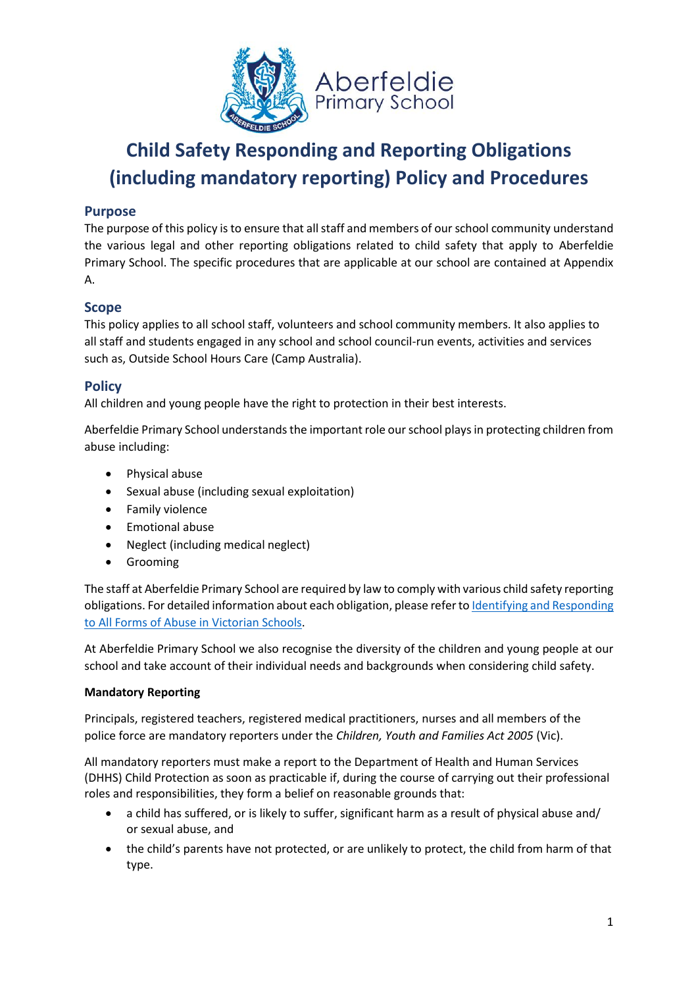

### **Purpose**

The purpose of this policy is to ensure that all staff and members of our school community understand the various legal and other reporting obligations related to child safety that apply to Aberfeldie Primary School. The specific procedures that are applicable at our school are contained at Appendix A.

### **Scope**

This policy applies to all school staff, volunteers and school community members. It also applies to all staff and students engaged in any school and school council-run events, activities and services such as, Outside School Hours Care (Camp Australia).

### **Policy**

All children and young people have the right to protection in their best interests.

Aberfeldie Primary School understands the important role our school plays in protecting children from abuse including:

- Physical abuse
- Sexual abuse (including sexual exploitation)
- Family violence
- Emotional abuse
- Neglect (including medical neglect)
- Grooming

The staff at Aberfeldie Primary School are required by law to comply with various child safety reporting obligations. For detailed information about each obligation, please refer to Identifying and Responding [to All Forms of Abuse in Victorian Schools.](https://www.education.vic.gov.au/Documents/about/programs/health/protect/ChildSafeStandard5_SchoolsGuide.pdf)

At Aberfeldie Primary School we also recognise the diversity of the children and young people at our school and take account of their individual needs and backgrounds when considering child safety.

### **Mandatory Reporting**

Principals, registered teachers, registered medical practitioners, nurses and all members of the police force are mandatory reporters under the *Children, Youth and Families Act 2005* (Vic).

All mandatory reporters must make a report to the Department of Health and Human Services (DHHS) Child Protection as soon as practicable if, during the course of carrying out their professional roles and responsibilities, they form a belief on reasonable grounds that:

- a child has suffered, or is likely to suffer, significant harm as a result of physical abuse and/ or sexual abuse, and
- the child's parents have not protected, or are unlikely to protect, the child from harm of that type.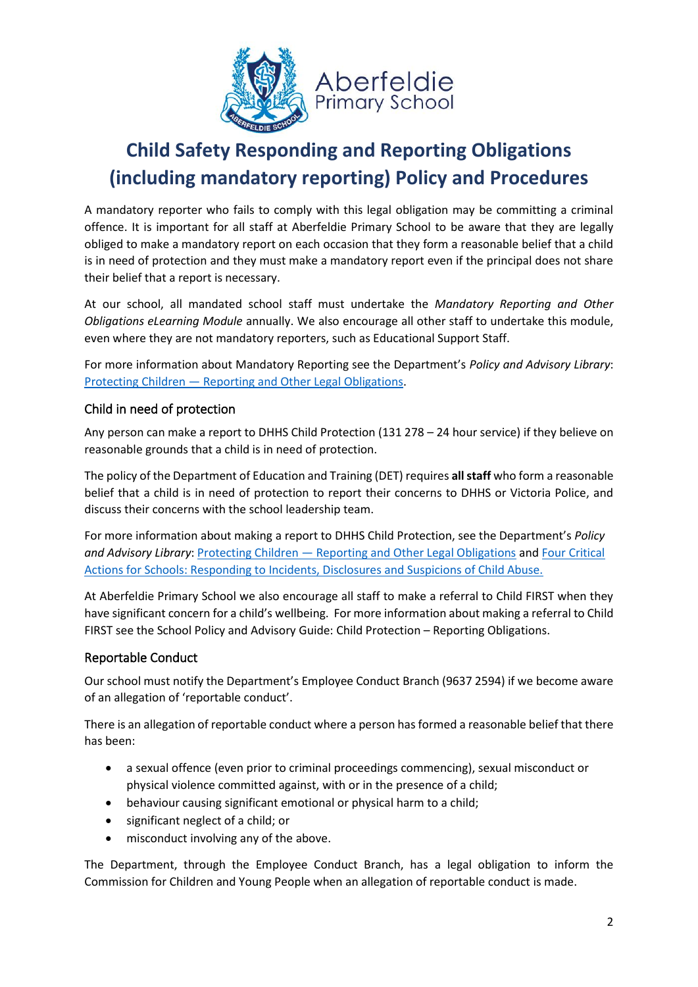

A mandatory reporter who fails to comply with this legal obligation may be committing a criminal offence. It is important for all staff at Aberfeldie Primary School to be aware that they are legally obliged to make a mandatory report on each occasion that they form a reasonable belief that a child is in need of protection and they must make a mandatory report even if the principal does not share their belief that a report is necessary.

At our school, all mandated school staff must undertake the *Mandatory Reporting and Other Obligations eLearning Module* annually. We also encourage all other staff to undertake this module, even where they are not mandatory reporters, such as Educational Support Staff.

For more information about Mandatory Reporting see the Department's *Policy and Advisory Library*: Protecting Children — Reporting [and Other Legal Obligations.](https://www2.education.vic.gov.au/pal/protecting-children/policy)

### Child in need of protection

Any person can make a report to DHHS Child Protection (131 278 – 24 hour service) if they believe on reasonable grounds that a child is in need of protection.

The policy of the Department of Education and Training (DET) requires **all staff** who form a reasonable belief that a child is in need of protection to report their concerns to DHHS or Victoria Police, and discuss their concerns with the school leadership team.

For more information about making a report to DHHS Child Protection, see the Department's *Policy and Advisory Library*: Protecting Children — [Reporting and Other Legal Obligations](https://www2.education.vic.gov.au/pal/protecting-children/policy) and [Four Critical](https://www.education.vic.gov.au/Documents/about/programs/health/protect/FourCriticalActions_ChildAbuse.pdf)  [Actions for Schools: Responding to Incidents, Disclosures and Suspicions of Child Abuse.](https://www.education.vic.gov.au/Documents/about/programs/health/protect/FourCriticalActions_ChildAbuse.pdf)

At Aberfeldie Primary School we also encourage all staff to make a referral to Child FIRST when they have significant concern for a child's wellbeing. For more information about making a referral to Child FIRST see the School Policy and Advisory Guide: Child Protection – [Reporting Obligations.](https://www.education.vic.gov.au/school/principals/spag/safety/Pages/childprotectobligation.aspx)

### Reportable Conduct

Our school must notify the Department's Employee Conduct Branch (9637 2594) if we become aware of an allegation of 'reportable conduct'.

There is an allegation of reportable conduct where a person has formed a reasonable belief that there has been:

- a sexual offence (even prior to criminal proceedings commencing), sexual misconduct or physical violence committed against, with or in the presence of a child;
- behaviour causing significant emotional or physical harm to a child;
- significant neglect of a child; or
- misconduct involving any of the above.

The Department, through the Employee Conduct Branch, has a legal obligation to inform the Commission for Children and Young People when an allegation of reportable conduct is made.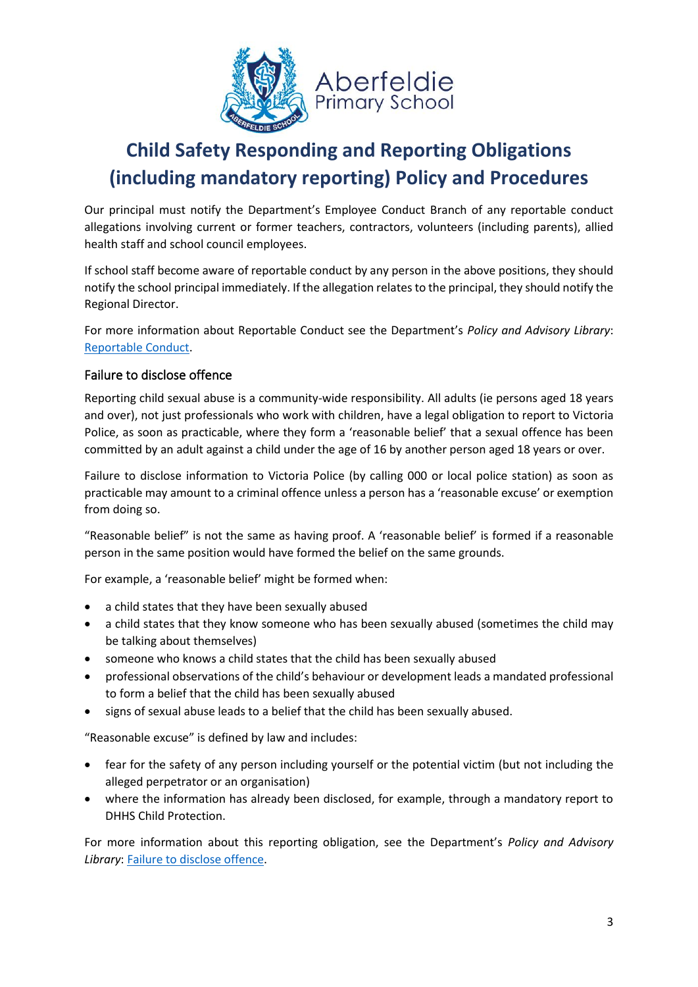

Our principal must notify the Department's Employee Conduct Branch of any reportable conduct allegations involving current or former teachers, contractors, volunteers (including parents), allied health staff and school council employees.

If school staff become aware of reportable conduct by any person in the above positions, they should notify the school principal immediately. If the allegation relates to the principal, they should notify the Regional Director.

For more information about Reportable Conduct see the Department's *Policy and Advisory Library*: [Reportable Conduct.](https://www2.education.vic.gov.au/pal/reportable-conduct-scheme/policy)

### Failure to disclose offence

Reporting child sexual abuse is a community-wide responsibility. All adults (ie persons aged 18 years and over), not just professionals who work with children, have a legal obligation to report to Victoria Police, as soon as practicable, where they form a 'reasonable belief' that a sexual offence has been committed by an adult against a child under the age of 16 by another person aged 18 years or over.

Failure to disclose information to Victoria Police (by calling 000 or local police station) as soon as practicable may amount to a criminal offence unless a person has a 'reasonable excuse' or exemption from doing so.

"Reasonable belief" is not the same as having proof. A 'reasonable belief' is formed if a reasonable person in the same position would have formed the belief on the same grounds.

For example, a 'reasonable belief' might be formed when:

- a child states that they have been sexually abused
- a child states that they know someone who has been sexually abused (sometimes the child may be talking about themselves)
- someone who knows a child states that the child has been sexually abused
- professional observations of the child's behaviour or development leads a mandated professional to form a belief that the child has been sexually abused
- signs of sexual abuse leads to a belief that the child has been sexually abused.

"Reasonable excuse" is defined by law and includes:

- fear for the safety of any person including yourself or the potential victim (but not including the alleged perpetrator or an organisation)
- where the information has already been disclosed, for example, through a mandatory report to DHHS Child Protection.

For more information about this reporting obligation, see the Department's *Policy and Advisory Library*: [Failure to disclose offence.](https://www2.education.vic.gov.au/pal/protecting-children/policy)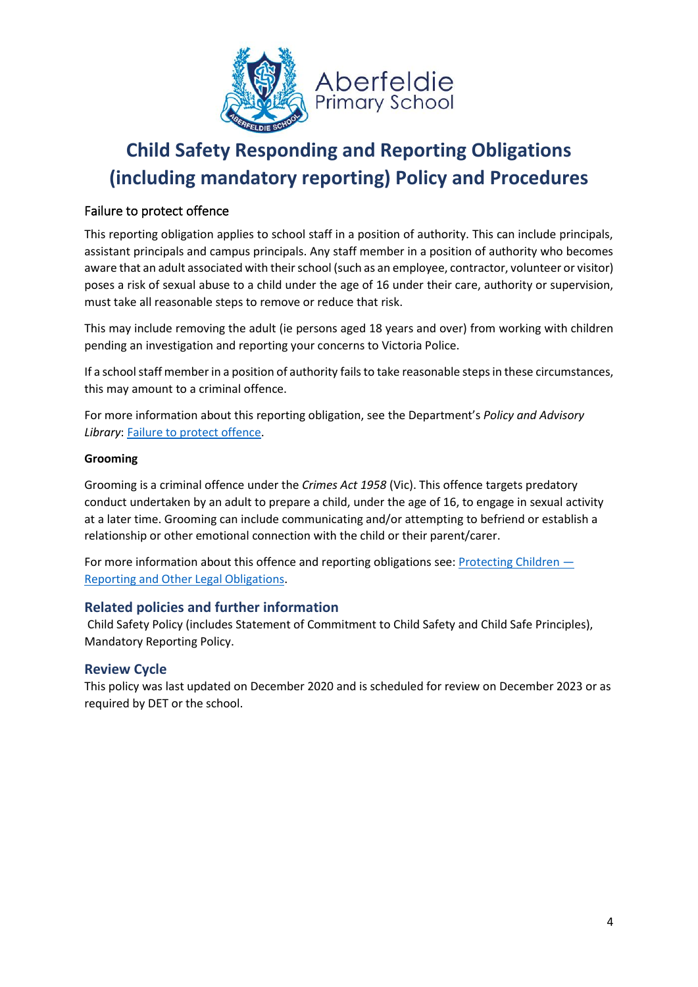

### Failure to protect offence

This reporting obligation applies to school staff in a position of authority. This can include principals, assistant principals and campus principals. Any staff member in a position of authority who becomes aware that an adult associated with their school (such as an employee, contractor, volunteer or visitor) poses a risk of sexual abuse to a child under the age of 16 under their care, authority or supervision, must take all reasonable steps to remove or reduce that risk.

This may include removing the adult (ie persons aged 18 years and over) from working with children pending an investigation and reporting your concerns to Victoria Police.

If a school staff member in a position of authority fails to take reasonable steps in these circumstances, this may amount to a criminal offence.

For more information about this reporting obligation, see the Department's *Policy and Advisory*  **Library: [Failure to protect offence.](https://www2.education.vic.gov.au/pal/protecting-children/policy)** 

#### **Grooming**

Grooming is a criminal offence under the *Crimes Act 1958* (Vic). This offence targets predatory conduct undertaken by an adult to prepare a child, under the age of 16, to engage in sexual activity at a later time. Grooming can include communicating and/or attempting to befriend or establish a relationship or other emotional connection with the child or their parent/carer.

For more information about this offence and reporting obligations see: [Protecting Children](https://www2.education.vic.gov.au/pal/protecting-children/policy)  $-$ [Reporting and Other Legal Obligations.](https://www2.education.vic.gov.au/pal/protecting-children/policy)

### **Related policies and further information**

Child Safety Policy (includes Statement of Commitment to Child Safety and Child Safe Principles), Mandatory Reporting Policy.

### **Review Cycle**

This policy was last updated on December 2020 and is scheduled for review on December 2023 or as required by DET or the school.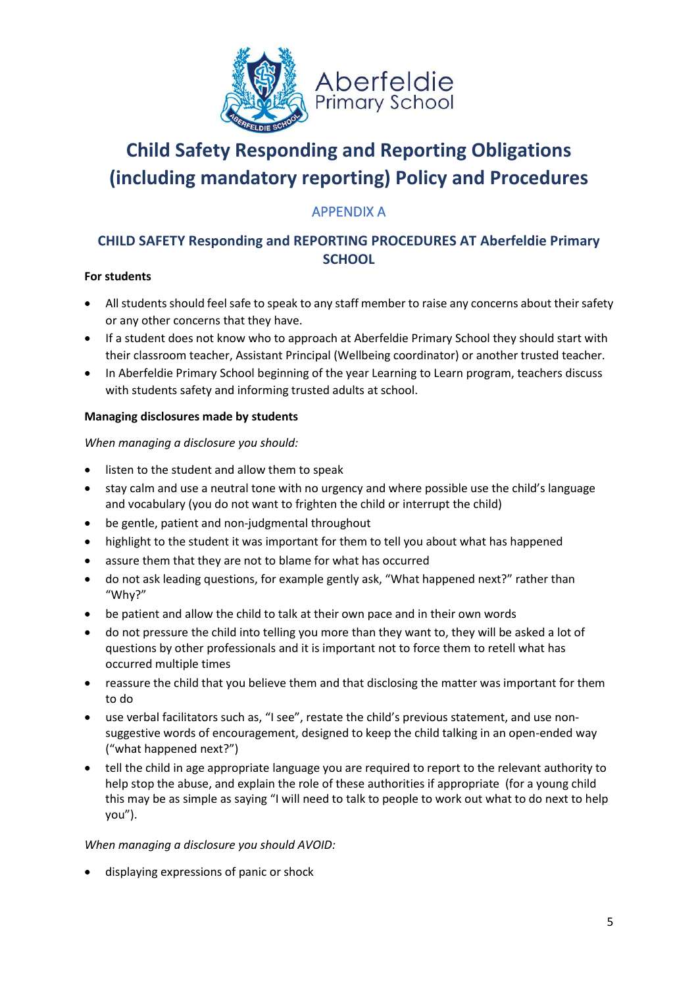

### APPENDIX A

### **CHILD SAFETY Responding and REPORTING PROCEDURES AT Aberfeldie Primary SCHOOL**

### **For students**

- All students should feel safe to speak to any staff member to raise any concerns about their safety or any other concerns that they have.
- If a student does not know who to approach at Aberfeldie Primary School they should start with their classroom teacher, Assistant Principal (Wellbeing coordinator) or another trusted teacher.
- In Aberfeldie Primary School beginning of the year Learning to Learn program, teachers discuss with students safety and informing trusted adults at school.

### **Managing disclosures made by students**

### *When managing a disclosure you should:*

- listen to the student and allow them to speak
- stay calm and use a neutral tone with no urgency and where possible use the child's language and vocabulary (you do not want to frighten the child or interrupt the child)
- be gentle, patient and non-judgmental throughout
- highlight to the student it was important for them to tell you about what has happened
- assure them that they are not to blame for what has occurred
- do not ask leading questions, for example gently ask, "What happened next?" rather than "Why?"
- be patient and allow the child to talk at their own pace and in their own words
- do not pressure the child into telling you more than they want to, they will be asked a lot of questions by other professionals and it is important not to force them to retell what has occurred multiple times
- reassure the child that you believe them and that disclosing the matter was important for them to do
- use verbal facilitators such as, "I see", restate the child's previous statement, and use nonsuggestive words of encouragement, designed to keep the child talking in an open-ended way ("what happened next?")
- tell the child in age appropriate language you are required to report to the relevant authority to help stop the abuse, and explain the role of these authorities if appropriate (for a young child this may be as simple as saying "I will need to talk to people to work out what to do next to help you").

### *When managing a disclosure you should AVOID:*

• displaying expressions of panic or shock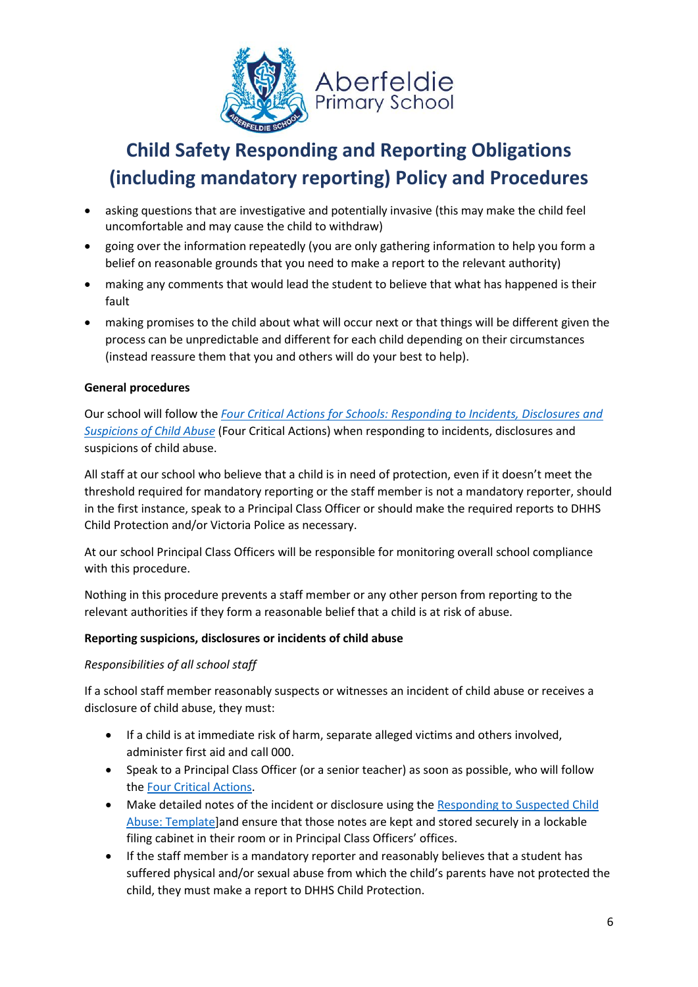

- asking questions that are investigative and potentially invasive (this may make the child feel uncomfortable and may cause the child to withdraw)
- going over the information repeatedly (you are only gathering information to help you form a belief on reasonable grounds that you need to make a report to the relevant authority)
- making any comments that would lead the student to believe that what has happened is their fault
- making promises to the child about what will occur next or that things will be different given the process can be unpredictable and different for each child depending on their circumstances (instead reassure them that you and others will do your best to help).

### **General procedures**

Our school will follow the *[Four Critical Actions for Schools: Responding to Incidents, Disclosures and](https://www.education.vic.gov.au/Documents/about/programs/health/protect/FourCriticalActions_ChildAbuse.pdf)  [Suspicions of Child Abuse](https://www.education.vic.gov.au/Documents/about/programs/health/protect/FourCriticalActions_ChildAbuse.pdf)* (Four Critical Actions) when responding to incidents, disclosures and suspicions of child abuse.

All staff at our school who believe that a child is in need of protection, even if it doesn't meet the threshold required for mandatory reporting or the staff member is not a mandatory reporter, should in the first instance, speak to a Principal Class Officer or should make the required reports to DHHS Child Protection and/or Victoria Police as necessary.

At our school Principal Class Officers will be responsible for monitoring overall school compliance with this procedure.

Nothing in this procedure prevents a staff member or any other person from reporting to the relevant authorities if they form a reasonable belief that a child is at risk of abuse.

#### **Reporting suspicions, disclosures or incidents of child abuse**

#### *Responsibilities of all school staff*

If a school staff member reasonably suspects or witnesses an incident of child abuse or receives a disclosure of child abuse, they must:

- If a child is at immediate risk of harm, separate alleged victims and others involved, administer first aid and call 000.
- Speak to a Principal Class Officer (or a senior teacher) as soon as possible, who will follow th[e Four Critical Actions.](https://www.education.vic.gov.au/Documents/about/programs/health/protect/FourCriticalActions_ChildAbuse.pdf)
- Make detailed notes of the incident or disclosure using the [Responding to Suspected Child](https://www.education.vic.gov.au/Documents/about/programs/health/protect/PROTECT_Schoolstemplate.pdf)  [Abuse: Template\]](https://www.education.vic.gov.au/Documents/about/programs/health/protect/PROTECT_Schoolstemplate.pdf)and ensure that those notes are kept and stored securely in a lockable filing cabinet in their room or in Principal Class Officers' offices.
- If the staff member is a mandatory reporter and reasonably believes that a student has suffered physical and/or sexual abuse from which the child's parents have not protected the child, they must make a report to DHHS Child Protection.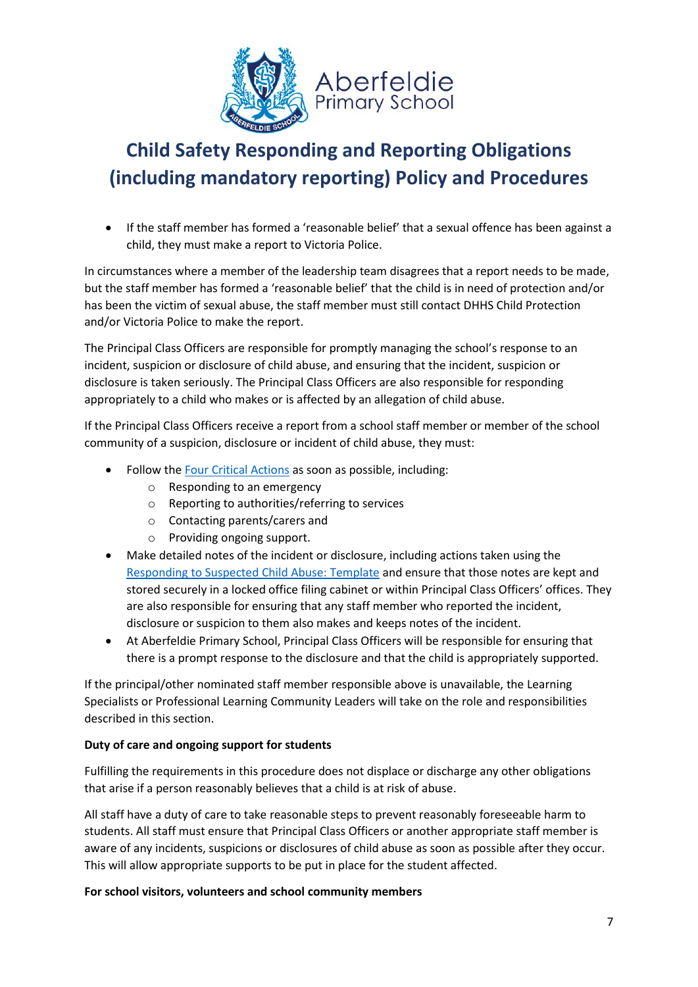

• If the staff member has formed a 'reasonable belief' that a sexual offence has been against a child, they must make a report to Victoria Police.

In circumstances where a member of the leadership team disagrees that a report needs to be made, but the staff member has formed a 'reasonable belief' that the child is in need of protection and/or has been the victim of sexual abuse, the staff member must still contact DHHS Child Protection and/or Victoria Police to make the report.

The Principal Class Officers are responsible for promptly managing the school's response to an incident, suspicion or disclosure of child abuse, and ensuring that the incident, suspicion or disclosure is taken seriously. The Principal Class Officers are also responsible for responding appropriately to a child who makes or is affected by an allegation of child abuse.

If the Principal Class Officers receive a report from a school staff member or member of the school community of a suspicion, disclosure or incident of child abuse, they must:

- Follow th[e Four Critical Actions](https://www.education.vic.gov.au/Documents/about/programs/health/protect/FourCriticalActions_ChildAbuse.pdf) as soon as possible, including:
	- o Responding to an emergency
	- o Reporting to authorities/referring to services
	- o Contacting parents/carers and
	- o Providing ongoing support.
- Make detailed notes of the incident or disclosure, including actions taken using the [Responding to Suspected Child Abuse: Template](https://www.education.vic.gov.au/Documents/about/programs/health/protect/PROTECT_Schoolstemplate.pdf) and ensure that those notes are kept and stored securely in a locked office filing cabinet or within Principal Class Officers' offices. They are also responsible for ensuring that any staff member who reported the incident, disclosure or suspicion to them also makes and keeps notes of the incident.
- At Aberfeldie Primary School, Principal Class Officers will be responsible for ensuring that there is a prompt response to the disclosure and that the child is appropriately supported.

If the principal/other nominated staff member responsible above is unavailable, the Learning Specialists or Professional Learning Community Leaders will take on the role and responsibilities described in this section.

### **Duty of care and ongoing support for students**

Fulfilling the requirements in this procedure does not displace or discharge any other obligations that arise if a person reasonably believes that a child is at risk of abuse.

All staff have a duty of care to take reasonable steps to prevent reasonably foreseeable harm to students. All staff must ensure that Principal Class Officers or another appropriate staff member is aware of any incidents, suspicions or disclosures of child abuse as soon as possible after they occur. This will allow appropriate supports to be put in place for the student affected.

**For school visitors, volunteers and school community members**